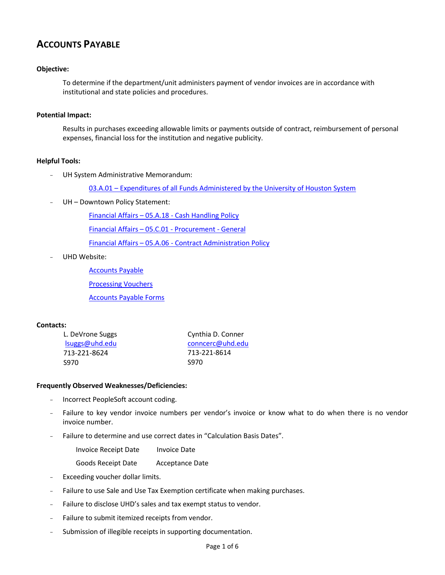# **ACCOUNTS PAYABLE**

# **Objective:**

To determine if the department/unit administers payment of vendor invoices are in accordance with institutional and state policies and procedures.

## **Potential Impact:**

Results in purchases exceeding allowable limits or payments outside of contract, reimbursement of personal expenses, financial loss for the institution and negative publicity.

## **Helpful Tools:**

UH System Administrative Memorandum:

03.A.01 – [Expenditures of all Funds Administered by the University of Houston System](http://www.uhsa.uh.edu/sam/3FicsalAffairs/3A1.pdf) 

UH - Downtown Policy Statement:

Financial Affairs – 05.A.18 - [Cash Handling Policy](http://www.uhd.edu/about/hr/PS05A18.pdf)

[Financial Affairs](http://www.uhd.edu/about/hr/PS05C01.pdf) – 05.C.01 - Procurement - General

Financial Affairs – 05.A.06 - [Contract Administration Policy](http://www.uhd.edu/about/hr/PS05A06.pdf)

UHD Website:

[Accounts Payable](http://www.uhd.edu/facultyandstaff/busaff/AccountsPayableHome.html)

[Processing Vouchers](http://www.uhd.edu/facultyandstaff/busaff/VoucherProcessing.html)

[Accounts Payable Forms](http://www.uhd.edu/facultyandstaff/busaff/APForms.html)

# **Contacts:**

| L. DeVrone Suggs | Cynthia D. Conner |  |  |
|------------------|-------------------|--|--|
| lsuggest@uhd.edu | conncerc@uhd.edu  |  |  |
| 713-221-8624     | 713-221-8614      |  |  |
| -S970            | <b>S970</b>       |  |  |

## **Frequently Observed Weaknesses/Deficiencies:**

- Incorrect PeopleSoft account coding.
- Failure to key vendor invoice numbers per vendor's invoice or know what to do when there is no vendor invoice number.
- Failure to determine and use correct dates in "Calculation Basis Dates".
	- Invoice Receipt Date Invoice Date
	- Goods Receipt Date Acceptance Date
- Exceeding voucher dollar limits.
- Failure to use Sale and Use Tax Exemption certificate when making purchases.
- Failure to disclose UHD's sales and tax exempt status to vendor.
- Failure to submit itemized receipts from vendor.
- Submission of illegible receipts in supporting documentation.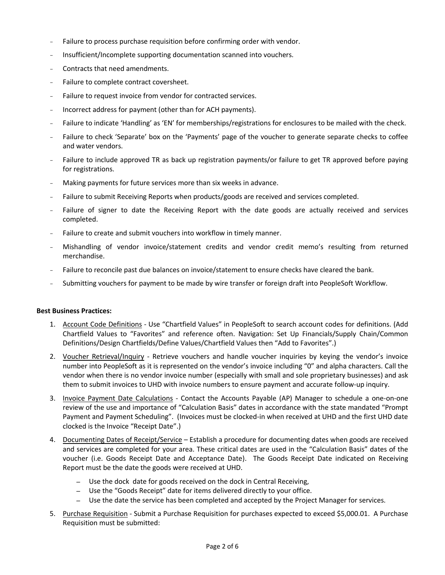- Failure to process purchase requisition before confirming order with vendor.
- Insufficient/Incomplete supporting documentation scanned into vouchers.
- Contracts that need amendments.
- Failure to complete contract coversheet.
- Failure to request invoice from vendor for contracted services.
- Incorrect address for payment (other than for ACH payments).
- Failure to indicate 'Handling' as 'EN' for memberships/registrations for enclosures to be mailed with the check.
- Failure to check 'Separate' box on the 'Payments' page of the voucher to generate separate checks to coffee and water vendors.
- Failure to include approved TR as back up registration payments/or failure to get TR approved before paying for registrations.
- Making payments for future services more than six weeks in advance.
- Failure to submit Receiving Reports when products/goods are received and services completed.
- Failure of signer to date the Receiving Report with the date goods are actually received and services completed.
- Failure to create and submit vouchers into workflow in timely manner.
- Mishandling of vendor invoice/statement credits and vendor credit memo's resulting from returned merchandise.
- Failure to reconcile past due balances on invoice/statement to ensure checks have cleared the bank.
- Submitting vouchers for payment to be made by wire transfer or foreign draft into PeopleSoft Workflow.

## **Best Business Practices:**

- 1. Account Code Definitions Use "Chartfield Values" in PeopleSoft to search account codes for definitions. (Add Chartfield Values to "Favorites" and reference often. Navigation: Set Up Financials/Supply Chain/Common Definitions/Design Chartfields/Define Values/Chartfield Values then "Add to Favorites".)
- 2. Voucher Retrieval/Inquiry Retrieve vouchers and handle voucher inquiries by keying the vendor's invoice number into PeopleSoft as it is represented on the vendor's invoice including "0" and alpha characters. Call the vendor when there is no vendor invoice number (especially with small and sole proprietary businesses) and ask them to submit invoices to UHD with invoice numbers to ensure payment and accurate follow-up inquiry.
- 3. Invoice Payment Date Calculations Contact the Accounts Payable (AP) Manager to schedule a one-on-one review of the use and importance of "Calculation Basis" dates in accordance with the state mandated "Prompt Payment and Payment Scheduling". (Invoices must be clocked-in when received at UHD and the first UHD date clocked is the Invoice "Receipt Date".)
- 4. Documenting Dates of Receipt/Service Establish a procedure for documenting dates when goods are received and services are completed for your area. These critical dates are used in the "Calculation Basis" dates of the voucher (i.e. Goods Receipt Date and Acceptance Date). The Goods Receipt Date indicated on Receiving Report must be the date the goods were received at UHD.
	- *–* Use the dock date for goods received on the dock in Central Receiving,
	- *–* Use the "Goods Receipt" date for items delivered directly to your office.
	- *–* Use the date the service has been completed and accepted by the Project Manager for services.
- 5. Purchase Requisition Submit a Purchase Requisition for purchases expected to exceed \$5,000.01. A Purchase Requisition must be submitted: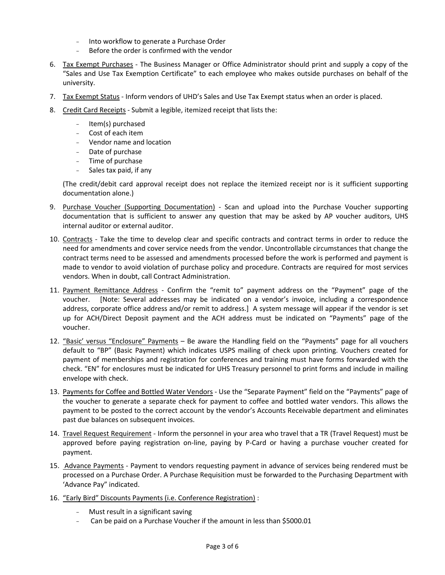- Into workflow to generate a Purchase Order
- Before the order is confirmed with the vendor
- 6. Tax Exempt Purchases The Business Manager or Office Administrator should print and supply a copy of the "Sales and Use Tax Exemption Certificate" to each employee who makes outside purchases on behalf of the university.
- 7. Tax Exempt Status Inform vendors of UHD's Sales and Use Tax Exempt status when an order is placed.
- 8. Credit Card Receipts Submit a legible, itemized receipt that lists the:
	- Item(s) purchased
	- Cost of each item
	- Vendor name and location
	- Date of purchase
	- Time of purchase
	- Sales tax paid, if any

(The credit/debit card approval receipt does not replace the itemized receipt nor is it sufficient supporting documentation alone.)

- 9. Purchase Voucher (Supporting Documentation) Scan and upload into the Purchase Voucher supporting documentation that is sufficient to answer any question that may be asked by AP voucher auditors, UHS internal auditor or external auditor.
- 10. Contracts Take the time to develop clear and specific contracts and contract terms in order to reduce the need for amendments and cover service needs from the vendor. Uncontrollable circumstances that change the contract terms need to be assessed and amendments processed before the work is performed and payment is made to vendor to avoid violation of purchase policy and procedure. Contracts are required for most services vendors. When in doubt, call Contract Administration.
- 11. Payment Remittance Address Confirm the "remit to" payment address on the "Payment" page of the voucher. [Note: Several addresses may be indicated on a vendor's invoice, including a correspondence address, corporate office address and/or remit to address.] A system message will appear if the vendor is set up for ACH/Direct Deposit payment and the ACH address must be indicated on "Payments" page of the voucher.
- 12. "Basic' versus "Enclosure" Payments Be aware the Handling field on the "Payments" page for all vouchers default to "BP" (Basic Payment) which indicates USPS mailing of check upon printing. Vouchers created for payment of memberships and registration for conferences and training must have forms forwarded with the check. "EN" for enclosures must be indicated for UHS Treasury personnel to print forms and include in mailing envelope with check.
- 13. Payments for Coffee and Bottled Water Vendors Use the "Separate Payment" field on the "Payments" page of the voucher to generate a separate check for payment to coffee and bottled water vendors. This allows the payment to be posted to the correct account by the vendor's Accounts Receivable department and eliminates past due balances on subsequent invoices.
- 14. Travel Request Requirement Inform the personnel in your area who travel that a TR (Travel Request) must be approved before paying registration on-line, paying by P-Card or having a purchase voucher created for payment.
- 15. Advance Payments Payment to vendors requesting payment in advance of services being rendered must be processed on a Purchase Order. A Purchase Requisition must be forwarded to the Purchasing Department with 'Advance Pay" indicated.
- 16. "Early Bird" Discounts Payments (i.e. Conference Registration) :
	- Must result in a significant saving
	- Can be paid on a Purchase Voucher if the amount in less than \$5000.01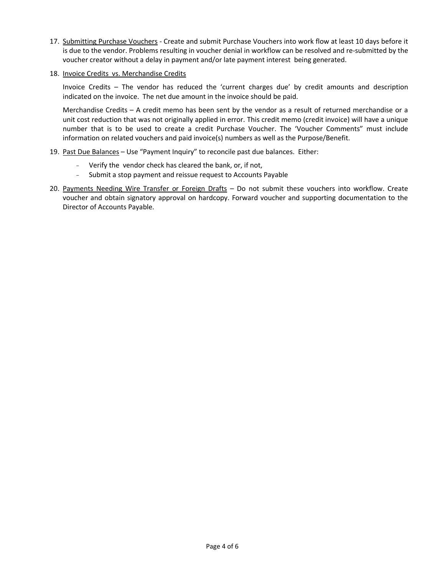- 17. Submitting Purchase Vouchers Create and submit Purchase Vouchers into work flow at least 10 days before it is due to the vendor. Problems resulting in voucher denial in workflow can be resolved and re-submitted by the voucher creator without a delay in payment and/or late payment interest being generated.
- 18. Invoice Credits vs. Merchandise Credits

Invoice Credits – The vendor has reduced the 'current charges due' by credit amounts and description indicated on the invoice. The net due amount in the invoice should be paid.

Merchandise Credits – A credit memo has been sent by the vendor as a result of returned merchandise or a unit cost reduction that was not originally applied in error. This credit memo (credit invoice) will have a unique number that is to be used to create a credit Purchase Voucher. The 'Voucher Comments" must include information on related vouchers and paid invoice(s) numbers as well as the Purpose/Benefit.

- 19. Past Due Balances Use "Payment Inquiry" to reconcile past due balances. Either:
	- Verify the vendor check has cleared the bank, or, if not,
	- Submit a stop payment and reissue request to Accounts Payable
- 20. Payments Needing Wire Transfer or Foreign Drafts Do not submit these vouchers into workflow. Create voucher and obtain signatory approval on hardcopy. Forward voucher and supporting documentation to the Director of Accounts Payable.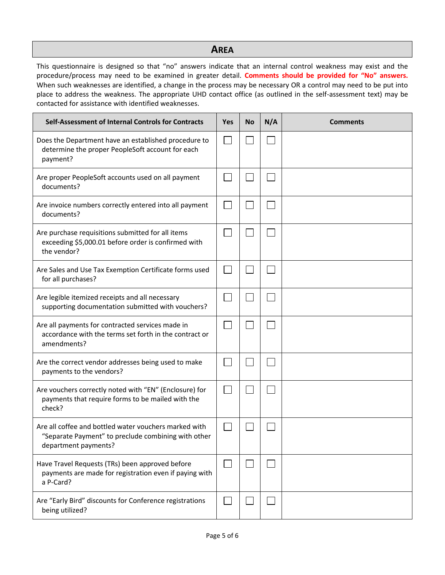# **AREA**

This questionnaire is designed so that "no" answers indicate that an internal control weakness may exist and the procedure/process may need to be examined in greater detail. **Comments should be provided for "No" answers.**  When such weaknesses are identified, a change in the process may be necessary OR a control may need to be put into place to address the weakness. The appropriate UHD contact office (as outlined in the self-assessment text) may be contacted for assistance with identified weaknesses.

| Self-Assessment of Internal Controls for Contracts                                                                                   | <b>Yes</b> | <b>No</b> | N/A | <b>Comments</b> |
|--------------------------------------------------------------------------------------------------------------------------------------|------------|-----------|-----|-----------------|
| Does the Department have an established procedure to<br>determine the proper PeopleSoft account for each<br>payment?                 |            |           |     |                 |
| Are proper PeopleSoft accounts used on all payment<br>documents?                                                                     |            |           |     |                 |
| Are invoice numbers correctly entered into all payment<br>documents?                                                                 |            |           |     |                 |
| Are purchase requisitions submitted for all items<br>exceeding \$5,000.01 before order is confirmed with<br>the vendor?              |            |           |     |                 |
| Are Sales and Use Tax Exemption Certificate forms used<br>for all purchases?                                                         |            |           |     |                 |
| Are legible itemized receipts and all necessary<br>supporting documentation submitted with vouchers?                                 |            |           |     |                 |
| Are all payments for contracted services made in<br>accordance with the terms set forth in the contract or<br>amendments?            |            |           |     |                 |
| Are the correct vendor addresses being used to make<br>payments to the vendors?                                                      |            |           |     |                 |
| Are vouchers correctly noted with "EN" (Enclosure) for<br>payments that require forms to be mailed with the<br>check?                |            |           |     |                 |
| Are all coffee and bottled water vouchers marked with<br>"Separate Payment" to preclude combining with other<br>department payments? |            |           |     |                 |
| Have Travel Requests (TRs) been approved before<br>payments are made for registration even if paying with<br>a P-Card?               |            |           |     |                 |
| Are "Early Bird" discounts for Conference registrations<br>being utilized?                                                           |            |           |     |                 |